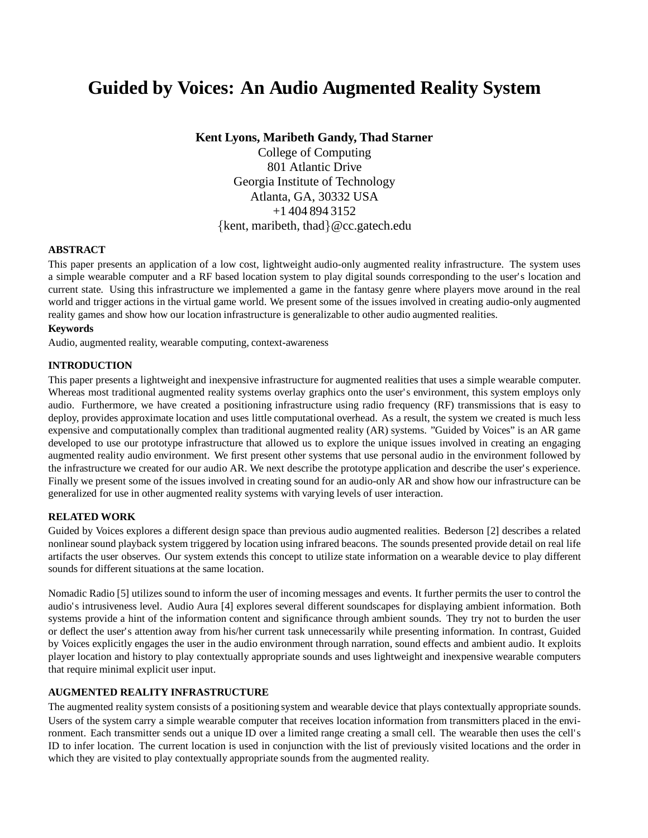# **Guided by Voices: An Audio Augmented Reality System**

**Kent Lyons, Maribeth Gandy, Thad Starner**

College of Computing 801 Atlantic Drive Georgia Institute of Technology Atlanta, GA, 30332 USA +1 404 894 3152 {kent, maribeth, thad  $\&e$  cc.gatech.edu

# **ABSTRACT**

This paper presents an application of a low cost, lightweight audio-only augmented reality infrastructure. The system uses a simple wearable computer and a RF based location system to play digital sounds corresponding to the user's location and current state. Using this infrastructure we implemented a game in the fantasy genre where players move around in the real world and trigger actions in the virtual game world. We present some of the issues involved in creating audio-only augmented reality games and show how our location infrastructure is generalizable to other audio augmented realities.

#### **Keywords**

Audio, augmented reality, wearable computing, context-awareness

#### **INTRODUCTION**

This paper presents a lightweight and inexpensive infrastructure for augmented realities that uses a simple wearable computer. Whereas most traditional augmented reality systems overlay graphics onto the user's environment, this system employs only audio. Furthermore, we have created a positioning infrastructure using radio frequency (RF) transmissions that is easy to deploy, provides approximate location and uses little computational overhead. As a result, the system we created is much less expensive and computationally complex than traditional augmented reality (AR) systems. "Guided by Voices" is an AR game developed to use our prototype infrastructure that allowed us to explore the unique issues involved in creating an engaging augmented reality audio environment. We first present other systems that use personal audio in the environment followed by the infrastructure we created for our audio AR. We next describe the prototype application and describe the user's experience. Finally we present some of the issues involved in creating sound for an audio-only AR and show how our infrastructure can be generalized for use in other augmented reality systems with varying levels of user interaction.

#### **RELATED WORK**

Guided by Voices explores a different design space than previous audio augmented realities. Bederson [2] describes a related nonlinear sound playback system triggered by location using infrared beacons. The sounds presented provide detail on real life artifacts the user observes. Our system extends this concept to utilize state information on a wearable device to play different sounds for different situations at the same location.

Nomadic Radio [5] utilizes sound to inform the user of incoming messages and events. It further permits the user to control the audio's intrusiveness level. Audio Aura [4] explores several different soundscapes for displaying ambient information. Both systems provide a hint of the information content and significance through ambient sounds. They try not to burden the user or deflect the user's attention away from his/her current task unnecessarily while presenting information. In contrast, Guided by Voices explicitly engages the user in the audio environment through narration, sound effects and ambient audio. It exploits player location and history to play contextually appropriate sounds and uses lightweight and inexpensive wearable computers that require minimal explicit user input.

# **AUGMENTED REALITY INFRASTRUCTURE**

The augmented reality system consists of a positioning system and wearable device that plays contextually appropriate sounds. Users of the system carry a simple wearable computer that receives location information from transmitters placed in the environment. Each transmitter sends out a unique ID over a limited range creating a small cell. The wearable then uses the cell's ID to infer location. The current location is used in conjunction with the list of previously visited locations and the order in which they are visited to play contextually appropriate sounds from the augmented reality.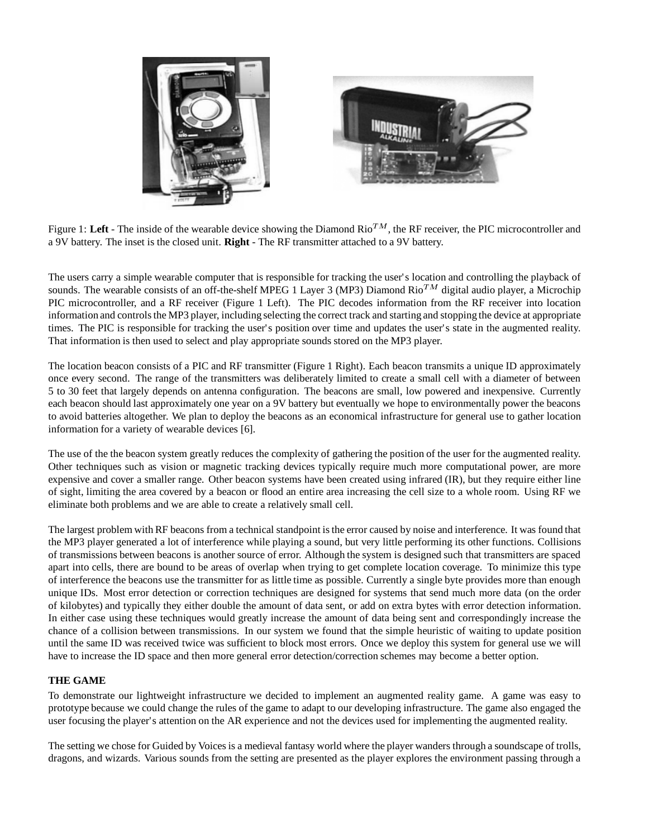



Figure 1: Left - The inside of the wearable device showing the Diamond  $Ri<sup>TM</sup>$ , the RF receiver, the PIC microcontroller and a 9V battery. The inset is the closed unit. **Right** - The RF transmitter attached to a 9V battery.

The users carry a simple wearable computer that is responsible for tracking the user's location and controlling the playback of sounds. The wearable consists of an off-the-shelf MPEG 1 Layer 3 (MP3) Diamond Rio<sup>TM</sup> digital audio player, a Microchip PIC microcontroller, and a RF receiver (Figure 1 Left). The PIC decodes information from the RF receiver into location information and controls the MP3 player, including selecting the correct track and starting and stopping the device at appropriate times. The PIC is responsible for tracking the user's position over time and updates the user's state in the augmented reality. That information is then used to select and play appropriate sounds stored on the MP3 player.

The location beacon consists of a PIC and RF transmitter (Figure 1 Right). Each beacon transmits a unique ID approximately once every second. The range of the transmitters was deliberately limited to create a small cell with a diameter of between 5 to 30 feet that largely depends on antenna configuration. The beacons are small, low powered and inexpensive. Currently each beacon should last approximately one year on a 9V battery but eventually we hope to environmentally power the beacons to avoid batteries altogether. We plan to deploy the beacons as an economical infrastructure for general use to gather location information for a variety of wearable devices [6].

The use of the the beacon system greatly reduces the complexity of gathering the position of the user for the augmented reality. Other techniques such as vision or magnetic tracking devices typically require much more computational power, are more expensive and cover a smaller range. Other beacon systems have been created using infrared (IR), but they require either line of sight, limiting the area covered by a beacon or flood an entire area increasing the cell size to a whole room. Using RF we eliminate both problems and we are able to create a relatively small cell.

The largest problem with RF beacons from a technical standpoint is the error caused by noise and interference. It was found that the MP3 player generated a lot of interference while playing a sound, but very little performing its other functions. Collisions of transmissions between beacons is another source of error. Although the system is designed such that transmitters are spaced apart into cells, there are bound to be areas of overlap when trying to get complete location coverage. To minimize this type of interference the beacons use the transmitter for as little time as possible. Currently a single byte provides more than enough unique IDs. Most error detection or correction techniques are designed for systems that send much more data (on the order of kilobytes) and typically they either double the amount of data sent, or add on extra bytes with error detection information. In either case using these techniques would greatly increase the amount of data being sent and correspondingly increase the chance of a collision between transmissions. In our system we found that the simple heuristic of waiting to update position until the same ID was received twice was sufficient to block most errors. Once we deploy this system for general use we will have to increase the ID space and then more general error detection/correction schemes may become a better option.

# **THE GAME**

To demonstrate our lightweight infrastructure we decided to implement an augmented reality game. A game was easy to prototype because we could change the rules of the game to adapt to our developing infrastructure. The game also engaged the user focusing the player's attention on the AR experience and not the devices used for implementing the augmented reality.

The setting we chose for Guided by Voices is a medieval fantasy world where the player wanders through a soundscape of trolls, dragons, and wizards. Various sounds from the setting are presented as the player explores the environment passing through a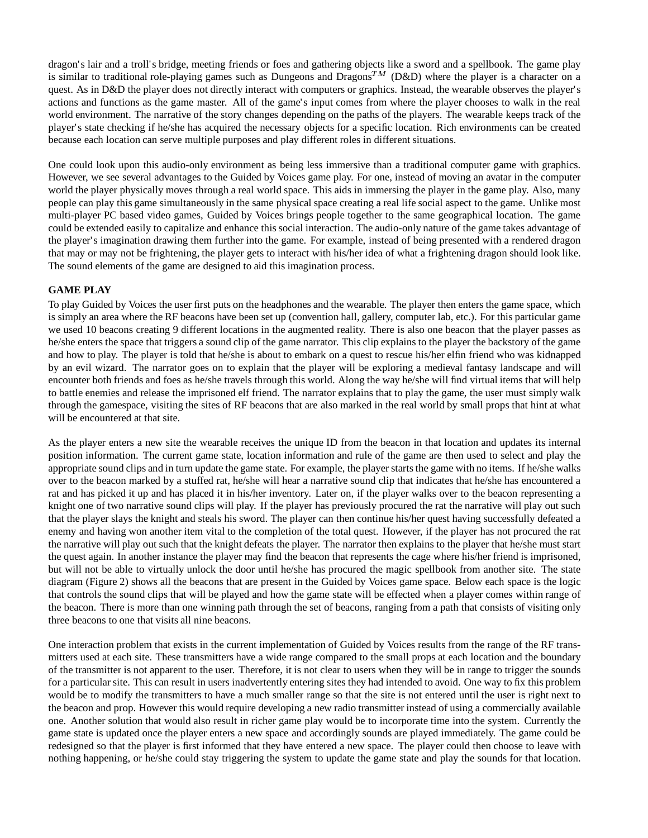dragon's lair and a troll's bridge, meeting friends or foes and gathering objects like a sword and a spellbook. The game play is similar to traditional role-playing games such as Dungeons and Dragons<sup>TM</sup> (D&D) where the player is a character on a quest. As in D&D the player does not directly interact with computers or graphics. Instead, the wearable observes the player's actions and functions as the game master. All of the game's input comes from where the player chooses to walk in the real world environment. The narrative of the story changes depending on the paths of the players. The wearable keeps track of the player's state checking if he/she has acquired the necessary objects for a specific location. Rich environments can be created because each location can serve multiple purposes and play different roles in different situations.

One could look upon this audio-only environment as being less immersive than a traditional computer game with graphics. However, we see several advantages to the Guided by Voices game play. For one, instead of moving an avatar in the computer world the player physically moves through a real world space. This aids in immersing the player in the game play. Also, many people can play this game simultaneously in the same physical space creating a real life social aspect to the game. Unlike most multi-player PC based video games, Guided by Voices brings people together to the same geographical location. The game could be extended easily to capitalize and enhance this social interaction. The audio-only nature of the game takes advantage of the player's imagination drawing them further into the game. For example, instead of being presented with a rendered dragon that may or may not be frightening, the player gets to interact with his/her idea of what a frightening dragon should look like. The sound elements of the game are designed to aid this imagination process.

#### **GAME PLAY**

To play Guided by Voices the user first puts on the headphones and the wearable. The player then enters the game space, which is simply an area where the RF beacons have been set up (convention hall, gallery, computer lab, etc.). For this particular game we used 10 beacons creating 9 different locations in the augmented reality. There is also one beacon that the player passes as he/she enters the space that triggers a sound clip of the game narrator. This clip explains to the player the backstory of the game and how to play. The player is told that he/she is about to embark on a quest to rescue his/her elfin friend who was kidnapped by an evil wizard. The narrator goes on to explain that the player will be exploring a medieval fantasy landscape and will encounter both friends and foes as he/she travels through this world. Along the way he/she will find virtual items that will help to battle enemies and release the imprisoned elf friend. The narrator explains that to play the game, the user must simply walk through the gamespace, visiting the sites of RF beacons that are also marked in the real world by small props that hint at what will be encountered at that site.

As the player enters a new site the wearable receives the unique ID from the beacon in that location and updates its internal position information. The current game state, location information and rule of the game are then used to select and play the appropriate sound clips and in turn update the game state. For example, the player starts the game with no items. If he/she walks over to the beacon marked by a stuffed rat, he/she will hear a narrative sound clip that indicates that he/she has encountered a rat and has picked it up and has placed it in his/her inventory. Later on, if the player walks over to the beacon representing a knight one of two narrative sound clips will play. If the player has previously procured the rat the narrative will play out such that the player slays the knight and steals his sword. The player can then continue his/her quest having successfully defeated a enemy and having won another item vital to the completion of the total quest. However, if the player has not procured the rat the narrative will play out such that the knight defeats the player. The narrator then explains to the player that he/she must start the quest again. In another instance the player may find the beacon that represents the cage where his/her friend is imprisoned, but will not be able to virtually unlock the door until he/she has procured the magic spellbook from another site. The state diagram (Figure 2) shows all the beacons that are present in the Guided by Voices game space. Below each space is the logic that controls the sound clips that will be played and how the game state will be effected when a player comes within range of the beacon. There is more than one winning path through the set of beacons, ranging from a path that consists of visiting only three beacons to one that visits all nine beacons.

One interaction problem that exists in the current implementation of Guided by Voices results from the range of the RF transmitters used at each site. These transmitters have a wide range compared to the small props at each location and the boundary of the transmitter is not apparent to the user. Therefore, it is not clear to users when they will be in range to trigger the sounds for a particular site. This can result in users inadvertently entering sites they had intended to avoid. One way to fix this problem would be to modify the transmitters to have a much smaller range so that the site is not entered until the user is right next to the beacon and prop. However this would require developing a new radio transmitter instead of using a commercially available one. Another solution that would also result in richer game play would be to incorporate time into the system. Currently the game state is updated once the player enters a new space and accordingly sounds are played immediately. The game could be redesigned so that the player is first informed that they have entered a new space. The player could then choose to leave with nothing happening, or he/she could stay triggering the system to update the game state and play the sounds for that location.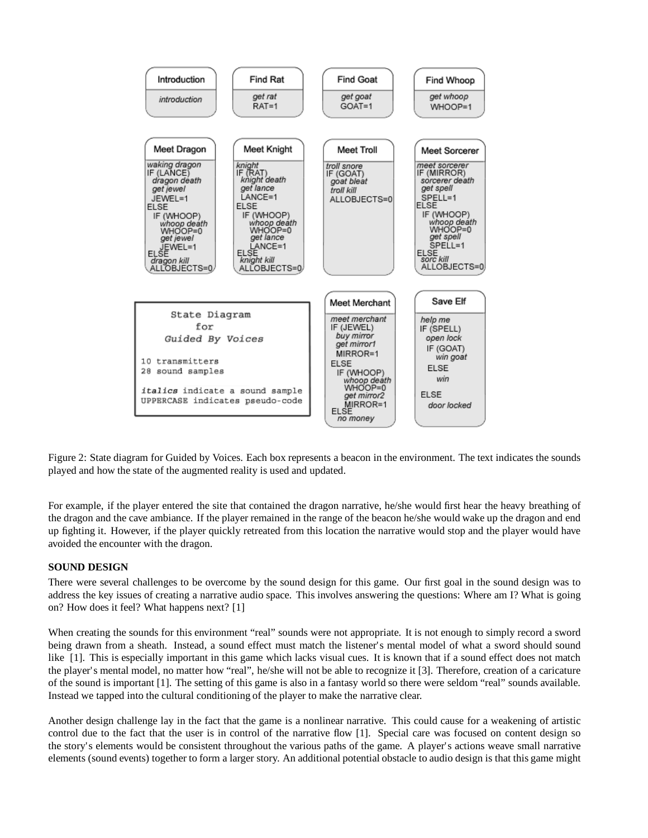

Figure 2: State diagram for Guided by Voices. Each box represents a beacon in the environment. The text indicates the sounds played and how the state of the augmented reality is used and updated.

For example, if the player entered the site that contained the dragon narrative, he/she would first hear the heavy breathing of the dragon and the cave ambiance. If the player remained in the range of the beacon he/she would wake up the dragon and end up fighting it. However, if the player quickly retreated from this location the narrative would stop and the player would have avoided the encounter with the dragon.

# **SOUND DESIGN**

There were several challenges to be overcome by the sound design for this game. Our first goal in the sound design was to address the key issues of creating a narrative audio space. This involves answering the questions: Where am I? What is going on? How does it feel? What happens next? [1]

When creating the sounds for this environment "real" sounds were not appropriate. It is not enough to simply record a sword being drawn from a sheath. Instead, a sound effect must match the listener's mental model of what a sword should sound like [1]. This is especially important in this game which lacks visual cues. It is known that if a sound effect does not match the player's mental model, no matter how "real", he/she will not be able to recognize it [3]. Therefore, creation of a caricature of the sound is important [1]. The setting of this game is also in a fantasy world so there were seldom "real" sounds available. Instead we tapped into the cultural conditioning of the player to make the narrative clear.

Another design challenge lay in the fact that the game is a nonlinear narrative. This could cause for a weakening of artistic control due to the fact that the user is in control of the narrative flow [1]. Special care was focused on content design so the story's elements would be consistent throughout the various paths of the game. A player's actions weave small narrative elements (sound events) together to form a larger story. An additional potential obstacle to audio design is that this game might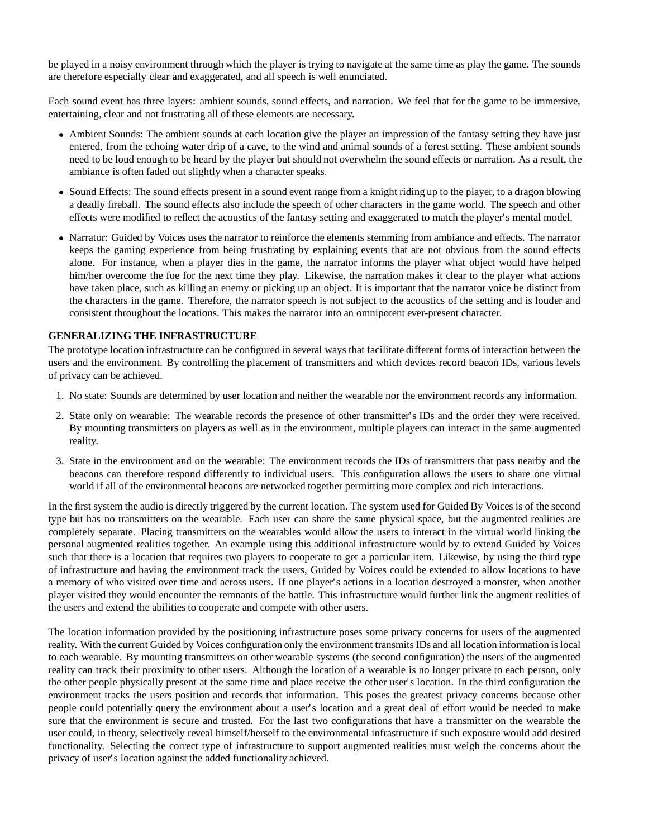be played in a noisy environment through which the player is trying to navigate at the same time as play the game. The sounds are therefore especially clear and exaggerated, and all speech is well enunciated.

Each sound event has three layers: ambient sounds, sound effects, and narration. We feel that for the game to be immersive, entertaining, clear and not frustrating all of these elements are necessary.

- Ambient Sounds: The ambient sounds at each location give the player an impression of the fantasy setting they have just entered, from the echoing water drip of a cave, to the wind and animal sounds of a forest setting. These ambient sounds need to be loud enough to be heard by the player but should not overwhelm the sound effects or narration. As a result, the ambiance is often faded out slightly when a character speaks.
- Sound Effects: The sound effects present in a sound event range from a knight riding up to the player, to a dragon blowing a deadly fireball. The sound effects also include the speech of other characters in the game world. The speech and other effects were modified to reflect the acoustics of the fantasy setting and exaggerated to match the player's mental model.
- Narrator: Guided by Voices uses the narrator to reinforce the elements stemming from ambiance and effects. The narrator keeps the gaming experience from being frustrating by explaining events that are not obvious from the sound effects alone. For instance, when a player dies in the game, the narrator informs the player what object would have helped him/her overcome the foe for the next time they play. Likewise, the narration makes it clear to the player what actions have taken place, such as killing an enemy or picking up an object. It is important that the narrator voice be distinct from the characters in the game. Therefore, the narrator speech is not subject to the acoustics of the setting and is louder and consistent throughout the locations. This makes the narrator into an omnipotent ever-present character.

#### **GENERALIZING THE INFRASTRUCTURE**

The prototype location infrastructure can be configured in several ways that facilitate different forms of interaction between the users and the environment. By controlling the placement of transmitters and which devices record beacon IDs, various levels of privacy can be achieved.

- 1. No state: Sounds are determined by user location and neither the wearable nor the environment records any information.
- 2. State only on wearable: The wearable records the presence of other transmitter's IDs and the order they were received. By mounting transmitters on players as well as in the environment, multiple players can interact in the same augmented reality.
- 3. State in the environment and on the wearable: The environment records the IDs of transmitters that pass nearby and the beacons can therefore respond differently to individual users. This configuration allows the users to share one virtual world if all of the environmental beacons are networked together permitting more complex and rich interactions.

In the first system the audio is directly triggered by the current location. The system used for Guided By Voices is of the second type but has no transmitters on the wearable. Each user can share the same physical space, but the augmented realities are completely separate. Placing transmitters on the wearables would allow the users to interact in the virtual world linking the personal augmented realities together. An example using this additional infrastructure would by to extend Guided by Voices such that there is a location that requires two players to cooperate to get a particular item. Likewise, by using the third type of infrastructure and having the environment track the users, Guided by Voices could be extended to allow locations to have a memory of who visited over time and across users. If one player's actions in a location destroyed a monster, when another player visited they would encounter the remnants of the battle. This infrastructure would further link the augment realities of the users and extend the abilities to cooperate and compete with other users.

The location information provided by the positioning infrastructure poses some privacy concerns for users of the augmented reality. With the current Guided by Voices configuration only the environment transmits IDs and all location information is local to each wearable. By mounting transmitters on other wearable systems (the second configuration) the users of the augmented reality can track their proximity to other users. Although the location of a wearable is no longer private to each person, only the other people physically present at the same time and place receive the other user's location. In the third configuration the environment tracks the users position and records that information. This poses the greatest privacy concerns because other people could potentially query the environment about a user's location and a great deal of effort would be needed to make sure that the environment is secure and trusted. For the last two configurations that have a transmitter on the wearable the user could, in theory, selectively reveal himself/herself to the environmental infrastructure if such exposure would add desired functionality. Selecting the correct type of infrastructure to support augmented realities must weigh the concerns about the privacy of user's location against the added functionality achieved.